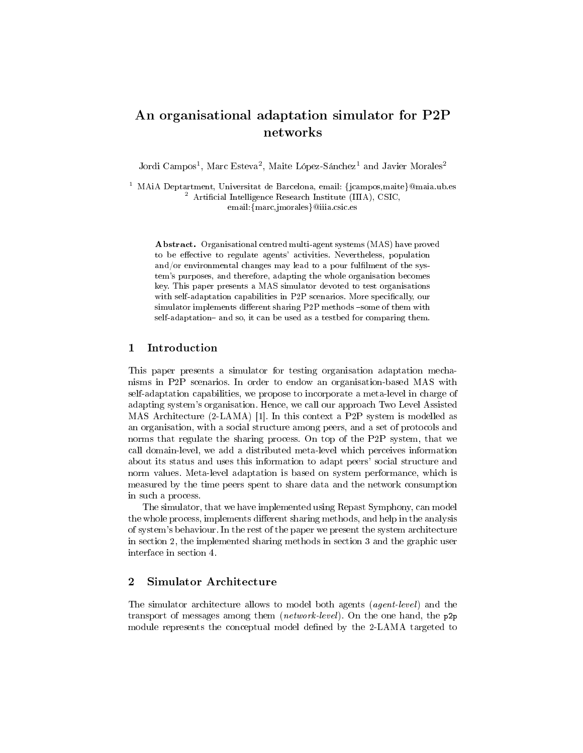# An organisational adaptation simulator for P2P networks

Jordi Campos<sup>1</sup>, Marc Esteva<sup>2</sup>, Maite López-Sánchez<sup>1</sup> and Javier Morales<sup>2</sup>

<sup>1</sup> MAiA Deptartment, Universitat de Barcelona, email: {jcampos,maite}@maia.ub.es <sup>2</sup> Artificial Intelligence Research Institute (IIIA), CSIC, email:{marc,jmorales}@iiia.csic.es

Abstract. Organisational centred multi-agent systems (MAS) have proved to be effective to regulate agents' activities. Nevertheless, population and/or environmental changes may lead to a pour fulfilment of the system's purposes, and therefore, adapting the whole organisation becomes key. This paper presents a MAS simulator devoted to test organisations with self-adaptation capabilities in P2P scenarios. More specifically, our simulator implements different sharing P2P methods -some of them with self-adaptation- and so, it can be used as a testbed for comparing them.

## 1 Introduction

This paper presents a simulator for testing organisation adaptation mechanisms in P2P scenarios. In order to endow an organisation-based MAS with self-adaptation capabilities, we propose to incorporate a meta-level in charge of adapting system's organisation. Hence, we call our approach Two Level Assisted MAS Architecture (2-LAMA) [1]. In this context a P2P system is modelled as an organisation, with a social structure among peers, and a set of protocols and norms that regulate the sharing process. On top of the P2P system, that we call domain-level, we add a distributed meta-level which perceives information about its status and uses this information to adapt peers' social structure and norm values. Meta-level adaptation is based on system performance, which is measured by the time peers spent to share data and the network consumption in such a process.

The simulator, that we have implemented using Repast Symphony, can model the whole process, implements different sharing methods, and help in the analysis of system's behaviour. In the rest of the paper we present the system architecture in section 2, the implemented sharing methods in section 3 and the graphic user interface in section 4.

#### 2 Simulator Architecture

The simulator architecture allows to model both agents (agent-level) and the transport of messages among them (network-level). On the one hand, the p2p module represents the conceptual model defined by the 2-LAMA targeted to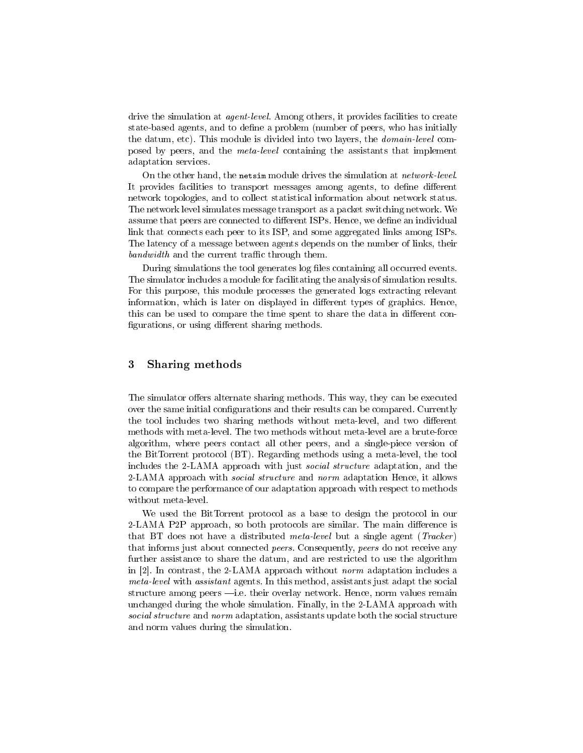drive the simulation at *agent-level*. Among others, it provides facilities to create state-based agents, and to define a problem (number of peers, who has initially the datum, etc). This module is divided into two layers, the domain-level composed by peers, and the meta-level containing the assistants that implement adaptation services.

On the other hand, the netsim module drives the simulation at *network-level*. It provides facilities to transport messages among agents, to define different network topologies, and to collect statistical information about network status. The network level simulates message transport as a packet switching network. We assume that peers are connected to different ISPs. Hence, we define an individual link that connects each peer to its ISP, and some aggregated links among ISPs. The latency of a message between agents depends on the number of links, their  $bandwidth$  and the current traffic through them.

During simulations the tool generates log files containing all occurred events. The simulator includes a module for facilitating the analysis of simulation results. For this purpose, this module processes the generated logs extracting relevant information, which is later on displayed in different types of graphics. Hence, this can be used to compare the time spent to share the data in different configurations, or using different sharing methods.

# 3 Sharing methods

The simulator offers alternate sharing methods. This way, they can be executed over the same initial configurations and their results can be compared. Currently the tool includes two sharing methods without meta-level, and two different methods with meta-level. The two methods without meta-level are a brute-force algorithm, where peers contact all other peers, and a single-piece version of the BitTorrent protocol (BT). Regarding methods using a meta-level, the tool includes the 2-LAMA approach with just social structure adaptation, and the 2-LAMA approach with social structure and norm adaptation Hence, it allows to compare the performance of our adaptation approach with respect to methods without meta-level.

We used the BitTorrent protocol as a base to design the protocol in our 2-LAMA P2P approach, so both protocols are similar. The main difference is that BT does not have a distributed meta-level but a single agent (*Tracker*) that informs just about connected peers. Consequently, peers do not receive any further assistance to share the datum, and are restricted to use the algorithm in [2]. In contrast, the 2-LAMA approach without norm adaptation includes a meta-level with assistant agents. In this method, assistants just adapt the social structure among peers  $\rightarrow$  i.e. their overlay network. Hence, norm values remain unchanged during the whole simulation. Finally, in the 2-LAMA approach with social structure and norm adaptation, assistants update both the social structure and norm values during the simulation.